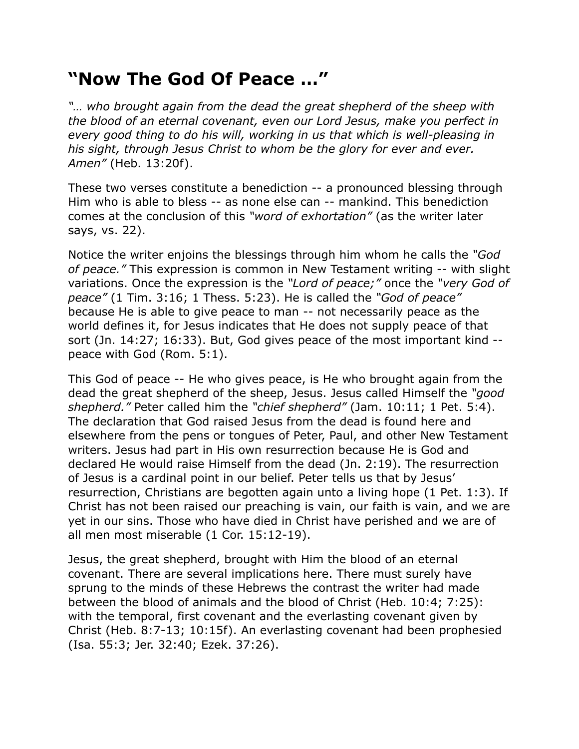## **"Now The God Of Peace …"**

*"… who brought again from the dead the great shepherd of the sheep with the blood of an eternal covenant, even our Lord Jesus, make you perfect in every good thing to do his will, working in us that which is well-pleasing in his sight, through Jesus Christ to whom be the glory for ever and ever. Amen"* (Heb. 13:20f).

These two verses constitute a benediction -- a pronounced blessing through Him who is able to bless -- as none else can -- mankind. This benediction comes at the conclusion of this *"word of exhortation"* (as the writer later says, vs. 22).

Notice the writer enjoins the blessings through him whom he calls the *"God of peace."* This expression is common in New Testament writing -- with slight variations. Once the expression is the *"Lord of peace;"* once the *"very God of peace"* (1 Tim. 3:16; 1 Thess. 5:23). He is called the *"God of peace"* because He is able to give peace to man -- not necessarily peace as the world defines it, for Jesus indicates that He does not supply peace of that sort (Jn. 14:27; 16:33). But, God gives peace of the most important kind - peace with God (Rom. 5:1).

This God of peace -- He who gives peace, is He who brought again from the dead the great shepherd of the sheep, Jesus. Jesus called Himself the *"good shepherd."* Peter called him the *"chief shepherd"* (Jam. 10:11; 1 Pet. 5:4). The declaration that God raised Jesus from the dead is found here and elsewhere from the pens or tongues of Peter, Paul, and other New Testament writers. Jesus had part in His own resurrection because He is God and declared He would raise Himself from the dead (Jn. 2:19). The resurrection of Jesus is a cardinal point in our belief. Peter tells us that by Jesus' resurrection, Christians are begotten again unto a living hope (1 Pet. 1:3). If Christ has not been raised our preaching is vain, our faith is vain, and we are yet in our sins. Those who have died in Christ have perished and we are of all men most miserable (1 Cor. 15:12-19).

Jesus, the great shepherd, brought with Him the blood of an eternal covenant. There are several implications here. There must surely have sprung to the minds of these Hebrews the contrast the writer had made between the blood of animals and the blood of Christ (Heb. 10:4; 7:25): with the temporal, first covenant and the everlasting covenant given by Christ (Heb. 8:7-13; 10:15f). An everlasting covenant had been prophesied (Isa. 55:3; Jer. 32:40; Ezek. 37:26).